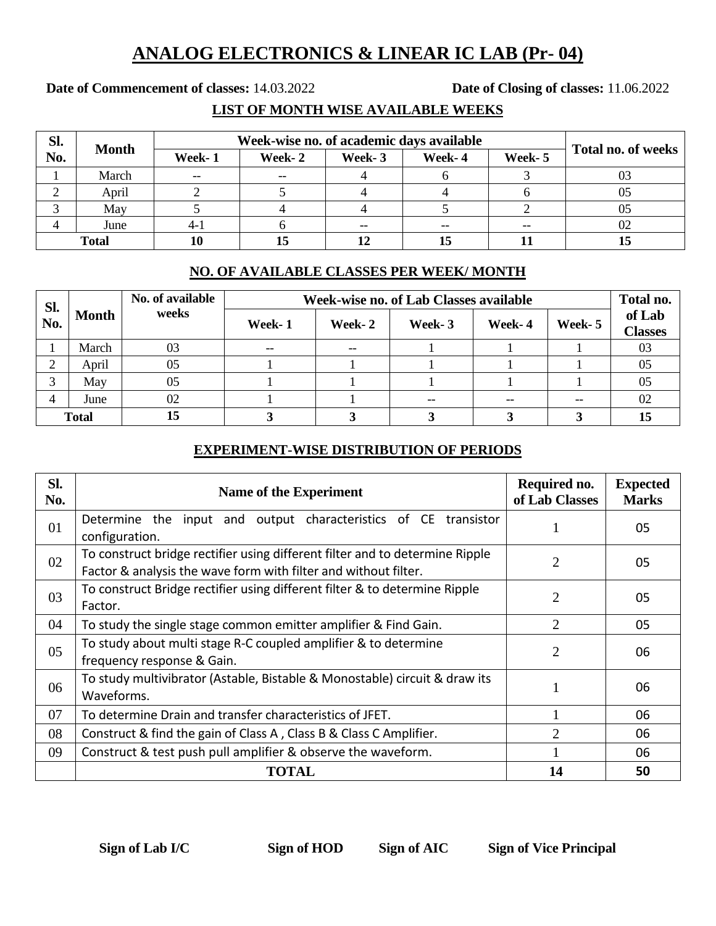## **ANALOG ELECTRONICS & LINEAR IC LAB (Pr- 04)**

**Date of Commencement of classes:** 14.03.2022 **Date of Closing of classes:** 11.06.2022

**LIST OF MONTH WISE AVAILABLE WEEKS**

| Sl.          | <b>Month</b> | Week-wise no. of academic days available |         |        |        |        |                    |
|--------------|--------------|------------------------------------------|---------|--------|--------|--------|--------------------|
| No.          |              | Week-1                                   | Week- 2 | Week-3 | Week-4 | Week-5 | Total no. of weeks |
|              | March        | $- -$                                    | $- -$   |        |        |        |                    |
|              | April        |                                          |         |        |        |        |                    |
|              | May          |                                          |         |        |        |        | 05                 |
|              | June         | $4 - 1$                                  |         | --     |        | $-$    |                    |
| <b>Total</b> |              | 10                                       | 15      |        |        |        |                    |

## **NO. OF AVAILABLE CLASSES PER WEEK/ MONTH**

| SI.<br>No.   | Month | No. of available<br>weeks | Week-wise no. of Lab Classes available |         |        |        |         |                          |
|--------------|-------|---------------------------|----------------------------------------|---------|--------|--------|---------|--------------------------|
|              |       |                           | Week-1                                 | Week- 2 | Week-3 | Week-4 | Week- 5 | of Lab<br><b>Classes</b> |
|              | March | 03                        | $- -$                                  | $- -$   |        |        |         | 03                       |
| ⌒<br>∠       | April | 05                        |                                        |         |        |        |         | 05                       |
| 2            | May   | 05                        |                                        |         |        |        |         | 05                       |
| 4            | June  | 02                        |                                        |         | $- -$  | $- -$  | $- -$   | 02                       |
| <b>Total</b> |       | 15                        |                                        |         |        |        |         | 15                       |

## **EXPERIMENT-WISE DISTRIBUTION OF PERIODS**

| SI.<br>No. | <b>Name of the Experiment</b>                                                                                                                   | Required no.<br>of Lab Classes | <b>Expected</b><br><b>Marks</b> |
|------------|-------------------------------------------------------------------------------------------------------------------------------------------------|--------------------------------|---------------------------------|
| 01         | Determine the input and output characteristics of CE transistor<br>configuration.                                                               |                                | 05                              |
| 02         | To construct bridge rectifier using different filter and to determine Ripple<br>Factor & analysis the wave form with filter and without filter. | $\overline{2}$                 | 05                              |
| 03         | To construct Bridge rectifier using different filter & to determine Ripple<br>Factor.                                                           | $\overline{2}$                 | 05                              |
| 04         | To study the single stage common emitter amplifier & Find Gain.                                                                                 | $\overline{2}$                 | 05                              |
| 05         | To study about multi stage R-C coupled amplifier & to determine<br>frequency response & Gain.                                                   | $\overline{2}$                 | 06                              |
| 06         | To study multivibrator (Astable, Bistable & Monostable) circuit & draw its<br>06<br>Waveforms.                                                  |                                |                                 |
| 07         | To determine Drain and transfer characteristics of JFET.                                                                                        |                                | 06                              |
| 08         | Construct & find the gain of Class A, Class B & Class C Amplifier.                                                                              | 2                              | 06                              |
| 09         | Construct & test push pull amplifier & observe the waveform.                                                                                    |                                | 06                              |
|            | <b>TOTAL</b>                                                                                                                                    | 14                             | 50                              |